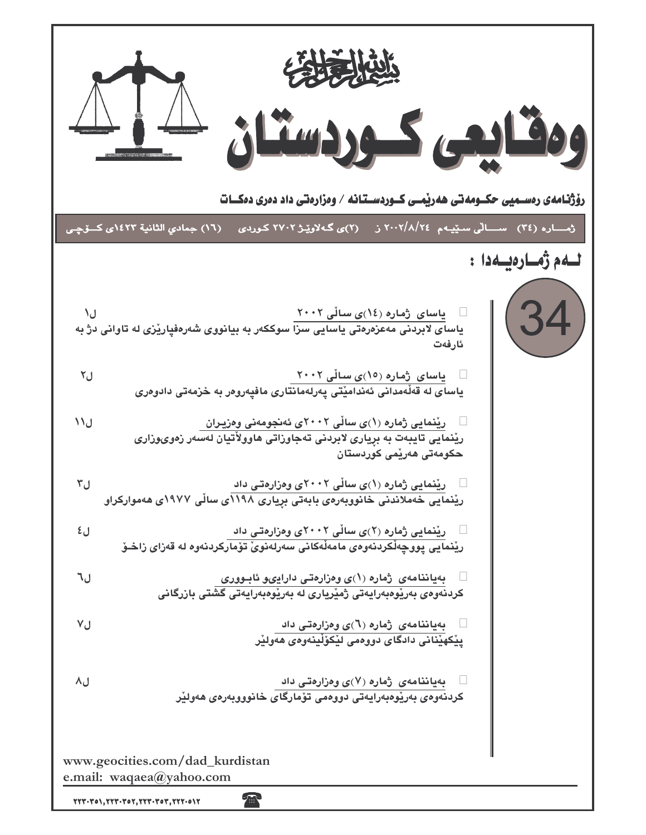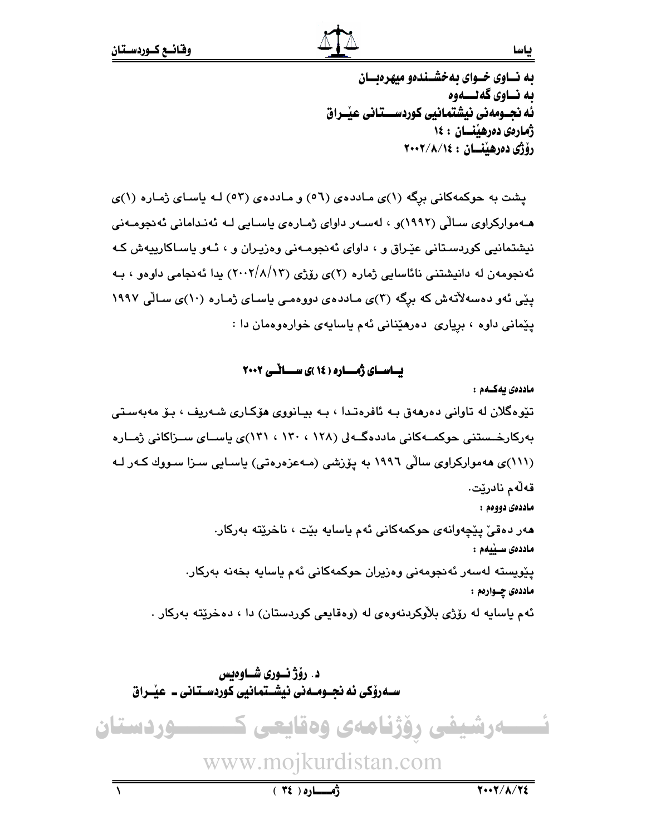## به نساوی خسوای به خشسندهو میهرهنسان به نــاوي گه نــــهوه ئه نجــومەنى نيشتمـانيى كوردســـتـانى عيْــراق ژمارەي دەرھىنسان : ١٤ رۆژى دەرھىنسان : ٢٠٠٢/٨/١٤

یشت به حوکمهکانی برگه (۱)ی ماددهی (٥٦) و ماددهی (٥٣) لـه یاسای ژماره (۱)ی هـهموارکراوی سـالّی (۱۹۹۲)و ، لهسـهر داوای ژمـارهی باسـابی لـه ئهنـدامانی ئهنجومـهنی نیشتمانیی کوردستانی عێراق و ، داوای ئەنجومـەنی وەزیـران و ، ئـەو یاسـاکارییەش کـه ئەنجومەن لە دانيشتنى نائاسايى ژمارە (٢)ى رۆژى (١٣/٨/١٣) بدا ئەنجامى داوەو ، بـه یپّی ئەو دەسەلاتەش کە برگە (۳)ى ماددەي دووەمىي ياساي ژمارە (۱۰)ى سالّى ۱۹۹۷ يێماني داوه ، برياري دەرھێناني ئەم ياسايەي خوارەوەمان دا :

## بساسسای ژهستاره ( ۱٤ )ی سیستانسی ۲۰۰۲

ماددەي يەكــەم :

تێوهگلان له تاوانی دەرھەق بـه ئافرەتـدا ، بـه بیـانووی ھۆکـاری شـەریف ، بـۆ مەبەسـتی بەركارخىستنى حوكمــەكانى ماددەگــەلى (١٢٨ ، ١٣٠ ، ١٣١)ى ياســاي ســزاكانى ژمــارە (۱۱۱)ی ههموارکراوی سالّی ۱۹۹۲ به یوّزشی (مهعزهرهتی) یاسایی سـزا سـووك كـهر لـه قەلەم نادرێت. ماددەى دووەم : هەر دەقى يێچەوانەي حوكمەكانى ئەم ياسايە بێت ، ناخرێتە بەركار. ماددەى سىيبەم : يێويسته لەسەر ئەنجومەنى وەزيران حوكمەكانى ئەم ياسايە بخەنە بەركار. ماددهي چـواردم : ئهم ياسايه له رۆژى بلاْوكردنهوەي له (وەقايعى كوردستان) دا ، دەخرێتە بەركار .

د. رۆژنسورى شــاوەىس سـەرۆكى ئە نجـومـەنى نيشـتمانيى كوردسـتانى ـ عيْـراق ۔رشیفی رؤژنامەی وەقايعی ک ــودستان www.mojkurdistan.com  $Y \cdot Y / \Lambda / Y \Sigma$  $(75)$   $(27)$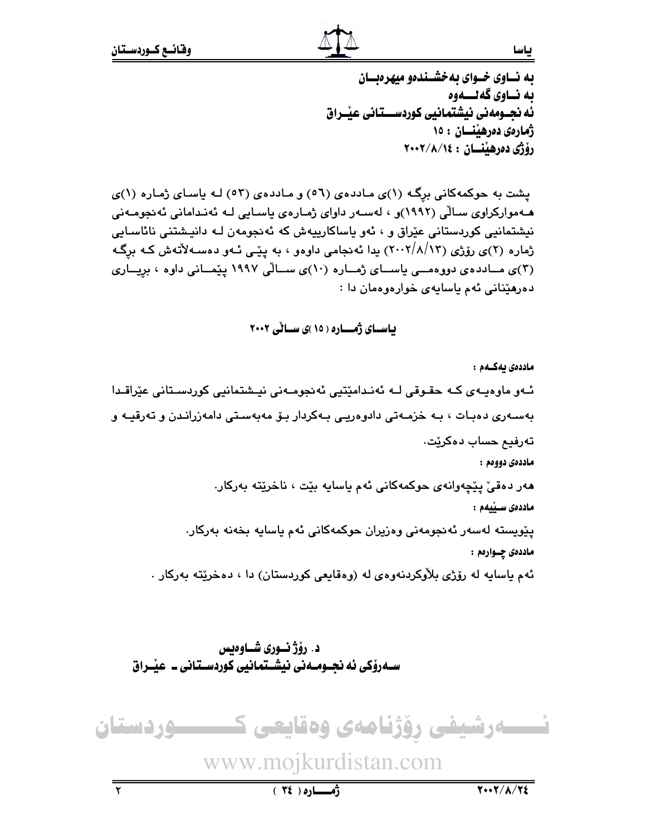به نساوی خسوای به خشسندهو میهرهنسان به نــاوي گه نــــهوه ئه نجــومەنى نيشتمـانيى كوردســـتـانى عيْــراق ژمارەي دەرھينسان : ١٥ رۆژى دەرھينسان : ٢٠٠٢/٨/١٤

یشت به حوکمهکانی برگ (۱)ی ماددهی (٥٦) و ماددهی (٥٣) لـه یاسـای ژمـاره (۱)ی هـﻪﻣﻮﺍﺭﮐﺮﺍﻭﯼ ﺳـﺎﻟّﻰ (١٩٩٢)ﻭ ، ﻟﻪﺳـﻪﺭ ﺩﺍﻭﺍﯼ ﮊﻣـﺎﺭﻩﯼ ﭘﺎﺳـﺎﯾﯽ ﻟـﻪ ﺋﻪﻧـﺪﺍﻣﺎﻧﯽ ﺋﻪﻧﺠﻮﻣـﻪﻧﯽ نیشتمانیی کوردستانی عیّراق و ، ئەو پاساکارییەش کە ئەنجومەن لـە دانیـشتنی نائاسـایی ژماره (۲)ی رۆژی (۲۰۰۲/۸/۱۳) یدا ئەنجامی داوەو ، بە یێی ئـەو دەسـەلأتەش کـه برگـه (٣)ی مـاددهی دووهمــی یاســای ژمــاره (١٠)ی ســالّی ١٩٩٧ ییّمــانی داوه ، بریــاری دەرھێنانى ئەم ياسايەي خوارەوەمان دا :

باسای ژمساره ( ١٥ )ی سالی ٢٠٠٢

ماددەى يەكــەم :

ئــهو ماوهيـهي كــه حقـوقي لــه ئهنـدامێتيي ئهنجومــهني نيــشتمانيي كوردسـتاني عێراقــدا بەسـەرى دەبـات ، بـە خزمـەتى دادوەريـى بـەكردار بـۆ مەبەسـتى دامەزرانـدن و تەرقيـە و تەرفيع حساب دەكرێت. ماددەى دووەم : هەر دەقى يێچەوانەي حوكمەكانى ئەم ياسايە بێت ، ناخرێتە بەركار. ماددەى سـێيەم : يٽويسٽه لهسهر ئهنجومهني وهزيران حوکمهکاني ئهم ياسايه بخهنه بهرکار. ماددهۍ چــوارهم :

ئهم باسابه له رۆژي بلاوکردنهوهي له (وهقايعي کوردستان) دا ، دهخريته بهرکار .

د. رؤژ نـوري شـاوەيس ســهروْکي ئه نجــومــه ني نيشــتمـانيي کوردســتـاني ــ عيْــراق



www.mojkurdistan.com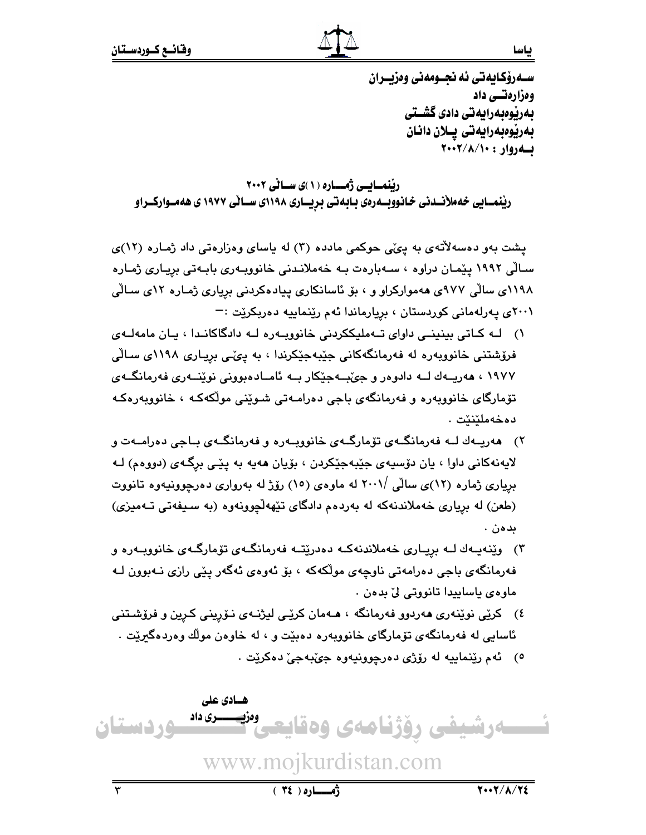ســهروْكـايهتي ئه نجــومهني وەزيــران ومزارهتسي داد بەريوەبەرايەتى دادى گشىتى بەرێوەبەرايەتى يىلان دانان بهروار: ٢٠٠٢/٨/١٠

ریْنمـایـی ژمــاره ( ۱ )ی سـانی ۲۰۰۲ ریْنمسایی خه ملاّنسدنی خانووبسه رهی بابه تی بریساری ۱۱۹۸ی سسائی ۱۹۷۷ ی هه مسوارکسراو

یشت بهو دهسهلاتهی به ییمی حوکمی مادده (۳) له یاسای وهزارهتی داد ژماره (۱۲)ی سالی ۱۹۹۲ ییمان دراوه ، سهبارهت بـه خهملانـدنی خانوویـهری بابـهتی بریـاری ژمـاره ۱۱۹۸ی سالی ۹۷۷ی ههموارکراو و ، بوّ ئاسانکاری پیادهکردنی بریاری ژماره ۱۲ی سالی ۲۰۰۱ی پهرلهمانی کوردستان ، بریارماندا ئهم رینماییه دهربکریت :-

- ١) لـه كـاتى بينينــى داواى تــهمليككردنى خانوويــهره لــه دادگاكانـدا ، يـان مامهلــهى فرۆشتنی خانوویەرە لە فەرمانگەكانى جِيْبەجِيْكرندا ، بە يېْپى بريـارى ١١٩٨ي سـالّى ۱۹۷۷ ، هەرپيەك ليە دادوەر و جېّيبەجێكار بيە ئاميادەبوونى نوێنيەرى فەرمانگيەي تۆمارگاي خانوويەرە و فەرمانگەي باجى دەرامـەتى شـوێنى مولکەکـە ، خانوويەرەکـە دەخەملێنێت.
- ۲) ههرسهك لـه فهرمانگـهي تۆمارگـهي خانوويـهره و فهرمانگـهي بـاحي دهرامـهت و لايەنەكانى داوا ، يان دۆسيەي جێبەجێكردن ، بۆيان ھەيە بە يێى برگەي (دووەم) لـە بریاری ژماره (۱۲)ی سالّی /۲۰۰۱ له ماوهی (۱٥) رۆژ له بهرواری دهرچوونیهوه تانووت (طعن) له بریاری خهملاندنهکه له بهردهم دادگای تێههلچوونهوه (به سیفهتی تـهمیزی) بدەن .
- ۳) وێنەپـەك لــه بريــارى خەملاندنەكــه دەدرێتــه فەرمانگــهى تۆمارگــهى خانووبــهره و فەرمانگەي باجى دەرامەتى ناوچەي مولكەكە ، بۆ ئەوەي ئەگەر يێى رازى نـﻪبوون لـﻪ ماوهي ياساييدا تانووتي ليٌ بدهن .
- ٤) کرێی نوێنەری ھەردوو فەرمانگە ، ھـﻪمان کرێی لیژنـﻪی نـۆرینی کـرین و فرۆشـتنی ئاسايي له فهرمانگهي تۆمارگاي خانوويهره دهبێت و ، له خاوهن مولّك وهردهگيرێت .
	- ٥) ئەم رێنماييە لە رۆژى دەرچوونيەوە جىٽبەجى دەكرێت .

ھــادى على وەزپىسىسىرى داد وردستان ـەرشيفى رۆژنامەي وەة www.mojkurdistan.com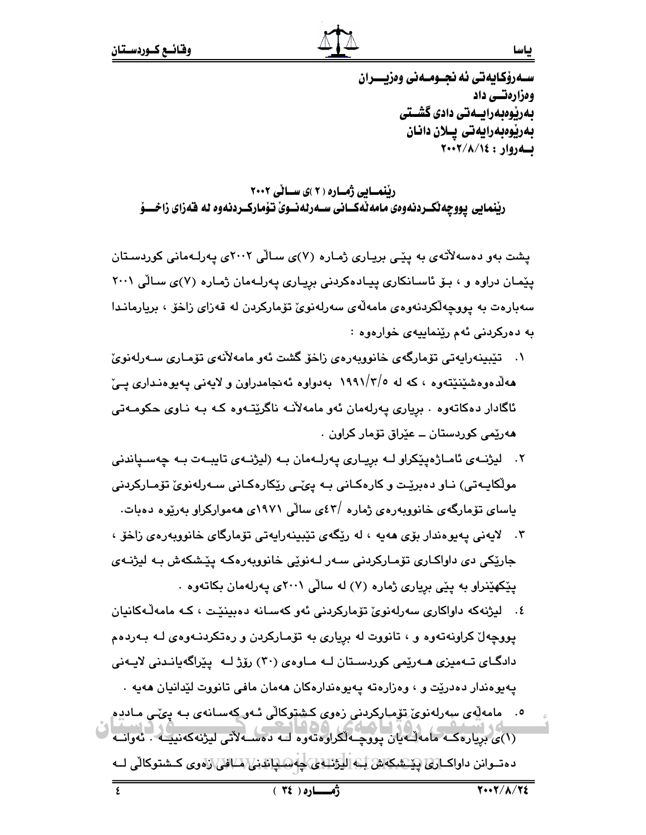ســهرؤكـابـهـتي ئـه نحــومــهـني ومزيــــران ومزارهتسي داد بەرپوەبەرايـەتى دادى گشـتى بەريوەبەرايەتى يــلان دانـان بهروار : ٢٠٠٢/٨/١٤

ریْنمایی ژماره ( ۲ )ی سائی ۲۰۰۲ ريْنمايي يووجه تكـردنهوهي مامه تْهكــاني ســهرله نــويْ تـوْماركــردنهوه له فقهزاي زاخـــوْ

یشت بهو دهسهلاتهی به پیّی بریاری ژماره (۷)ی سالّی ۲۰۰۲ی پهرلـهمانی کوردستان یپْمان دراوه و ، بوّ ئاسانکاری ییادهکردنی بریاری یهرلهمان ژماره (۷)ی سالّی ۲۰۰۱ سهبارهت به پووچهلکردنهوهی مامهلّهی سهرلهنویّ تۆمارکردن له قهزای زاخق ، بریارماندا به دەركردنى ئەم رێنماييەي خوارەوە :

- ۰۱ تێؠۑنەراپەتى تۆمارگەي خانووپەرەي زاخۆ گشت ئەو مامەلانەي تۆمـارى سـەرلەنويّ هه لا دو دشینیتهوه ، که له ۱۹۹۱/۳/۰ به دواوه نه نجامدراون و لایه نی یه یو هنداری ییّ ئاگادار دەكاتەوە . بږيارى پەرلەمان ئەو مامەلأنـــە ناگرێتـــەوە كــە بــە نــاوى حكومــەتـى هەرێمى كوردستان ــ عێراق تۆمار كراون ٠
- ٢. ليژنـهى ئامـاژەيێكراو لـه بريـارى يەرلـهمان بـه (ليژنـهى تايبـهت بـه چهسـياندنى مولّکايـهتي) نـاو دهبريّـت و کارهکـاني بـه يېمَـي ريکارهکـاني سـهرلهنويّ تۆمـارکردني باسای تۆمارگەی خانوويەرەی ژمارە /٤٣ی سالّى ١٩٧١ي ھەمواركراو بەرێوە دەبات.
- ۴. لايەنى پەيوەندار بۆي ھەيە ، لە رێگەي تێبينەراپەتى تۆمارگاي خانووپەرەي زاخۆ ، جارێِکی دی داواکـاری تۆمـارکردنی سـهر لـهنوێی خانووبهرهکـه یێشکهش بـه لیژنـهی پێکهێنراو به پێی برِیاری ژماره (۷) له سالّی ۲۰۰۱ی پهرلهمان بکاتهوه .
- ٤. ليژنهکه داواکاري سهرلهنويّ تۆمارکردنی ئهو کهسـانه دهبينێت ، کـه مامهڵـهکانيان پووچهان کراونهتهوه و ، تانووت له بریاری به تۆمارکردن و رهتکردنهوهی لـه بـهردهم دادگــای تــهمیزی هــهریمی کوردســتان لــه مــاوهی (۳۰) رۆژ لــه پیراگهپانــدنی لایــهنی يهيوهندار دهدريت و ، وهزارهته يهيوهندارهكان ههمان مافي تانووت ليدانيان ههيه .
- <sup>ە.</sup> مامەلەی سەرلەنوی تۆمپاركردنى زەوی كىشتوكالى ئـەر كەسـانەی بـە يى بى مـادرە (۱)ی بریارهک مامه لــه یان پووچــه لکراوهتهوه لــه دهســه لاتـی لیژنهکهنیـــه . شهوانــه ل دەتــوانن داواكــار*ي| پيشنبكەش ب*ــو اليزنـــولى جەس<u>ىياندنى/</u> لـــافى/زەرى كــشتوكالى لـــە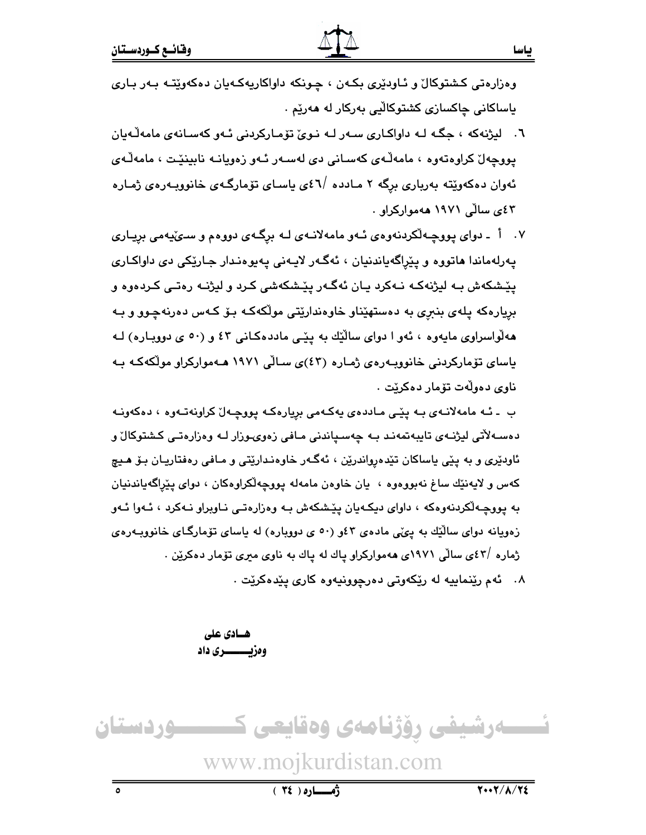وهزارهتی کشتوکال و ئاودیری بکهن ، چونکه داواکاریهکهیان دهکهویته بهر باری ياساکانی چاکسازی کشتوکاليی بەرکار لە مەریم .

- ٦. لېژنهکه ، حگـه لـه داواکـاري سـهر لـه نـوې تۆمـارکردنې ئـهو کهسـانهي مامهڵـهان يووچهلٌ کراوهتهوه ، مامهلُّهى کهسانى دى لهسهر ئـهو زهويانـه نابينێت ، مامهلُّهى ئەوان دەكەوپتە بەربارى برگە ٢ مـاددە /٤٦ ياسـاى تۆمارگـەى خانووبـەرەى ژمـارە ٤٢ی سالّی ١٩٧١ ههموارکراو .
- ۰۷ أ ـ دوای پووچـهڵکردنهوهی ئـهو مامهلانـهی لـه برِگـهی دووهم و سـئيهمی برِيـاری پهرلهماندا هاتووه و پێراگهپاندنيان ، ئهگهر لايـهني پهيوهندار جـارێکي دي داواکـاري يێشکهش بـه ليژنهکـه نـهکرد يـان ئهگـهر يێشکهشى کـرد و ليژنـه رهتـي کـردهوه و بريارهکه پلهي بنبري به دهستهێناو خاوهندارێتي مولکهکه بـۆ کـهس دهرنهچـوو و بـه هه لواسراوي مايهوه ، ئهو ا دواي ساليّك به ييّـي ماددهكاني ٤٣ و (٥٠ ي دووبـاره) لـه یاسای تۆمارکردنی خانوویه رهی ژماره (٤٣)ی سالی ١٩٧١ هـهوارکراو مولکهکه به ناوي دەولەت تۆمار دەكريت .

ب ۔ ئـه مامهلانـهي بـه يێـی مـاددهي پهکـهمي بريارهکـه پووچـهلٌ کراونهتـهوه ، دهکهونـه دەسـﻪلآتى ليژنـﻪي تايبەتمەنـد بـﻪ ﭼﻪسـياندنى مـاڧى زەويـﻮزار ﻟـﻪ ﻭﻩﺯﺍﺭﻩﺗـﻰ ﻛـﺸﺘﻮﻛﺎﻝْ ﻭ ئاودێری و به پێی پاساکان تێدەرواندرێن ، ئەگەر خاوەندارێتی و مـافی رەفتاریـان بـۆ ھـیچ کهس و لايهنێك ساغ نهبووهوه ، يان خاوهن مامهله پووچهڵکراوهکان ، دوای پێراگهپاندنیان به پووچهالکردنهوهکه ، داوای دیکهیان پیشکهش بـه وهزارهتـی نـاوبراو نـهکرد ، ئـهوا ئـهو زهویانه دوای سالیّك به پیمی مادهی ۴ دو (۵۰ ی دووباره) له باسای توْمارگای خانووبـهرهی ژماره /٤٣عی سالّی ۱۹۷۱ی ههموارکراو یاك له یاك به ناوی میری تۆمار دهكریِّن .

۸. ئهم رينماييه له ريكهوتي دهرچوونيهوه كارى ييدهكريت .

ھــادى على وەزيـــــــــرى داد

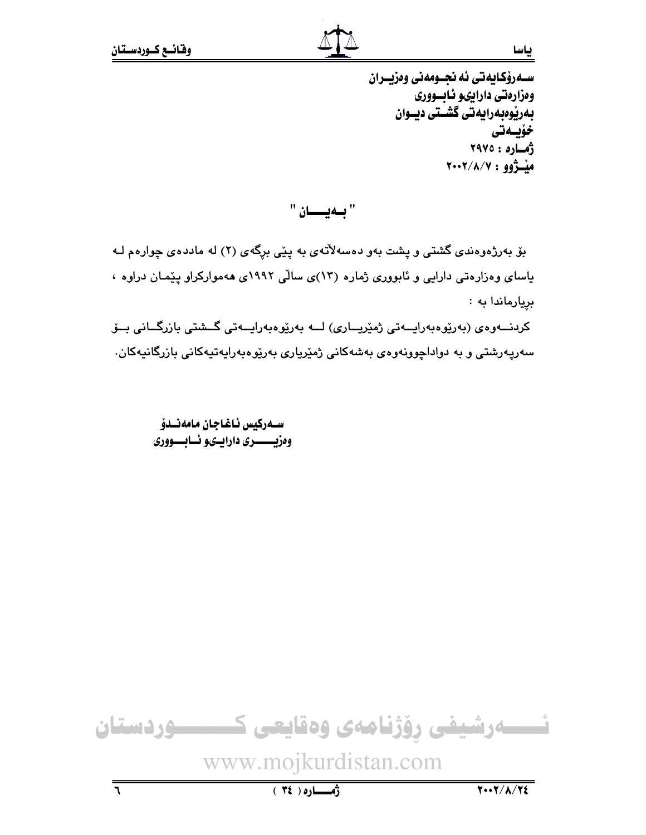ســهرۆكـايەتى ئه نجــومەنى وەزيــران ومزارمتي دارايىو ئـابــوورى بەرپوەبەرايەتى گشىتى ديــوان خۆيىەتى زُماره: ٢٩٧٥ ميشژوو : ٢٠٠٢/٨/٧

" بسەيىسسان "

بۆ بەرژەوەندى گشتى و پشت بەو دەسەلاتەي بە پێى برگەي (٢) لە ماددەي چوارەم لـﻪ یاسای وهزارهتی دارایی و ئابووری ژماره (۱۳)ی سالّی ۱۹۹۲ی ههموارکراو پیّمان دراوه ، بريارماندا به:

کردنـــهوهي (بهرێوهبهرايـــهتي ژمێريـــاري) لـــه بهرێوهبهرايـــهتي گــشتي بازرگــاني بــۆ سەريەرشتى و بە دواداچوونەوەي بەشەكانى ژمێريارى بەرێوەبەرايەتپەكانى بازرگانيەكان.

> ســەركبس ئـاغـاجـان مـامەنــدۆ وهزيســـــري دارايــيو ئـــابــــووري



 $(15)$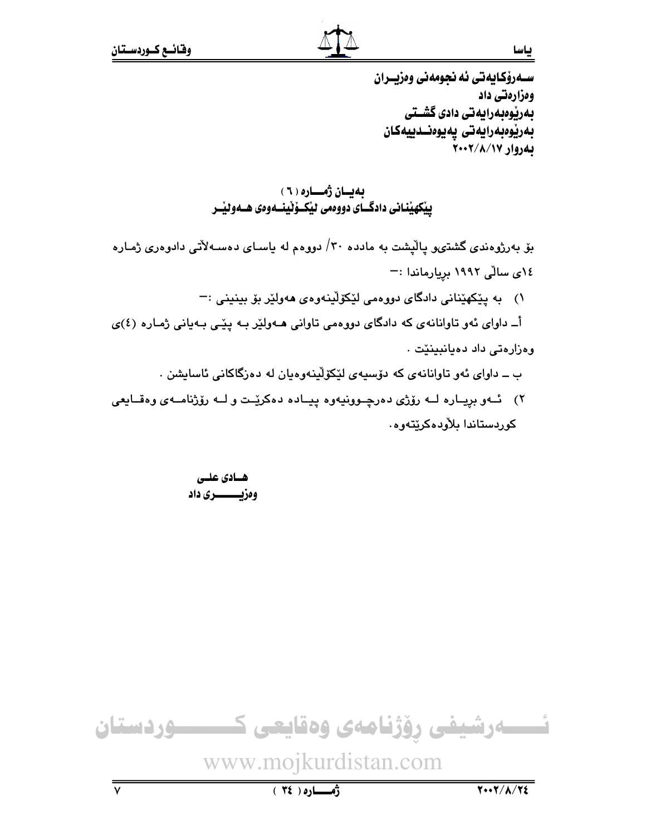ســهرۆكـايەتى ئه نجومەنى وەزيــران ومزارمتي داد بەرپوەبەرايەتى دادى گشىتى بەريوەبەرايەتى يەيوەنــدييەكان بهروار ۲۰۰۲/۸/۱۷

بەيان ژەسارە ( ٦ ) بيْكهيْناني دادگــاي دووممي ليْكــۆٽينـــەومى هــەوليْــر

بۆ بەرژوەندى گشتىھو پالْپشت بە ماددە ٣٠/ دووەم لە ياسـاى دەسـەلاتى دادوەرى ژمـارە ١٤می سالّی ١٩٩٢ بریارماندا :-

١) به پێکهێنانی دادگای دووهمی لێکۆلێنهوهی ههولێر بۆ بینینی :-

أ\_ داوای ئهو تاوانانهی که دادگای دووهمی تاوانی هـهولیْر بـه پیْمی بـهیانی ژمـاره (٤)ی وەزارەتى داد دەيانبينێت .

ب \_ داوای ئەو تاوانانەی كە دۆسىيەی لێكۆلينەوەيان لە دەزگاكانى ئاسايشن .

٢) ئــهو بريــاره لــه رۆژى دەرچــوونيهوه ييــاده دەكريّــت و لــه رۆژنامــهى وەقــايعى کوردستاندا بلاْودەکرىتەوە.

هسادى علىي وەزيـــــــــرى داد



ياسا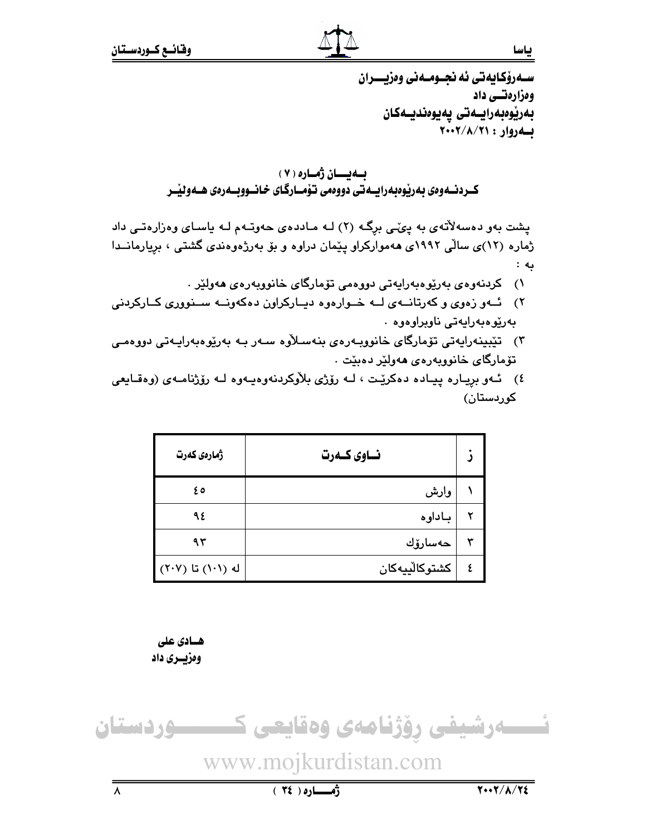ســهروكـايهتي ئه نجــومــهني ومزيــــران ومزارهتسي داد بەرێوەبەرايــەتى پەيوەنديــەكـان بهروار: ٢٠٠٢/٨/٢١

بهيسان ژماره ( ٧ ) كـردنــهوهي بهريوهبهرايــهتي دووهمي تـوّمــارگـاي خـانــووبــهرهي هــهوئييـر

پشت بهو دهسهلاتهی به پئی برگه (۲) لـه مـاددهی حهوتـهم لـه پاسـای وهزارهتـی داد ژماره (۱۲)ی سالّی ۱۹۹۲ی ههموارکراو پێمان دراوه و بۆ بهرژهوهندی گشتی ، برِیارمانــدا به :

- ۱) كردنەوەي بەرپوەبەرايەتى دوۋەمى تۆمارگاي خانوويەرەي ھەولێر .
- ۲) ئــهو زەوي و كەرتانــهى لــه خــوارەوە دېــاركراون دەكەونــه ســنوورى كــاركردنى بەرپوەبەرايەتى ناويراوەوە .
- ۳) تێبینەرایەتی تۆمارگای خانووبەرەی بنەسىلاوە سـەر بـە بەرێوەبەرایـەتی دووەمـی تۆمارگای خانووپەرەي ھەولێر دەبێت ٠
- ٤) ئـهو بريـاره ييـاده دهكريّت ، لـه رۆژى بلاّوكردنهوهيـهوه لـه رۆژنامـهى (وهقـايعى کوردستان)

| ژمارەي كەرت                 | نساوي كسمرت   |  |
|-----------------------------|---------------|--|
| ه ٤                         | وارش          |  |
| ۹٤                          | باداوه        |  |
| ۹۳                          | حەسارۆك       |  |
| $(V \cdot V)$ نا (۱۰۱) (۲۰۷ | كشتوكالييهكان |  |

ھــادى على وەزيىرى داد

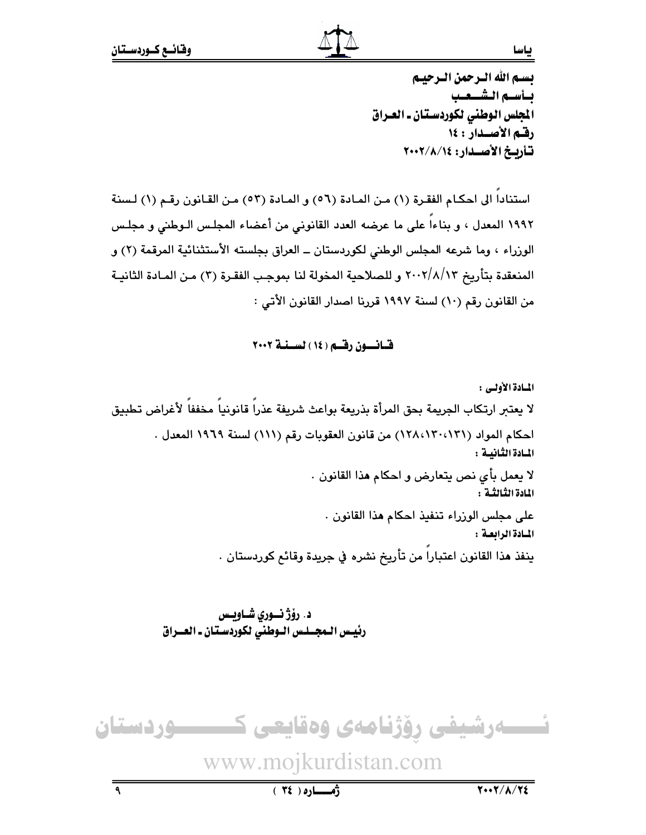تستم الله الترجمن الترجينم بسأسسم التشسعيب المجلس الوطني لكوردستان ـ العـراق رقم الأصدار : ١٤ تأربخ الأصدار: ١٤/٨/١٤+٢

استنادا الى احكـام الفقـرة (١) مـن المـادة (٥٦) و المـادة (٥٣) مـن القـانون رقـم (١) لـسنة ١٩٩٢ المعدل ، و بناءا على ما عرضه العدد القانوني من أعضاء المجلس الـوطني و مجلس الوزراء ، وما شرعه المجلس الوطني لكوردستان ــ العراق بجلسته الأستثنائية المرقمة (٢) و المنعقدة بتأريخ ٢٠٠٢/٨/١٣ و للصلاحية المخولة لنا بموجب الفقرة (٣) من المـادة الثانيـة من القانون رقم (١٠) لسنة ١٩٩٧ قررنا اصدار القانون الأتي :

قسانسون رقسم (١٤) لسسنة ٢٠٠٢

المسادة الأولى : لا يعتبر ارتكاب الجريمة بحق المرأة بذريعة بواعث شريفة عذراً قانونياً مخففاً لأغراض تطبيق احكام المواد (١٢٠،١٢٠،١٢٨) من قانون العقوبات رقم (١١١) لسنة ١٩٦٩ المعدل . المسادة الثنانيسة : لا يعمل بأي نص يتعارض و احكام هذا القانون . المادة الثالثة : على مجلس الوزراء تنفيذ احكام هذا القانون . المسادة الرابعة : ينفذ هذا القانون اعتبارا من تأريخ نشره في جريدة وقائع كوردستان .

> د. رۆژ نورى شـاويـس رئيس الـمجــلـس الـوطنى لكوردسـتان ـ العــراق



www.mojkurdistan.com

 $Y \cdot Y / \Lambda / Y \xi$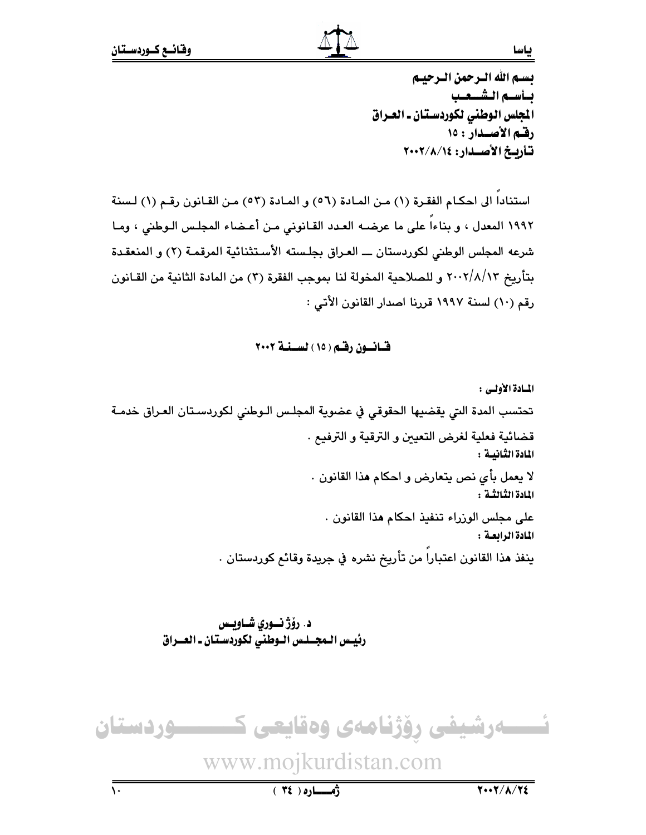تستم الله الترجمن الترجينم بسأسسم التشسعيب المجلس الوطني لكوردستان ـ العـراق رقم الأصدار : ١٥ تأربخ الأصدار: ١٤/٨/١٤+٢

ياسا

استناداً الى احكـام الفقـرة (١) مـن المـادة (٥٦) و المـادة (٥٣) مـن القـانون رقـم (١) لـسنة ١٩٩٢ المعدل ، و بناءا على ما عرضـه العـدد القـانوني مـن أعـضاء المجلـس الـوطني ، ومـا شرعه المجلس الوطني لكوردستان ـــ العراق بجلسته الأستثنائية المرقمـة (٢) و المنعقـدة بتأريخ ٢٠٠٢/٨/١٣ و للصلاحية المخولة لنا بموجب الفقرة (٣) من المادة الثانية من القـانون رقم (١٠) لسنة ١٩٩٧ قررنا اصدار القانون الأتي :

قسانسون رقبم ( ١٥ ) لسسنية ٢٠٠٢

المسادة الأولى : تحتسب المدة التي يقضيها الحقوقي في عضوية المجلس الـوطني لكوردسـتان العـراق خدمـة قضائية فعلية لغرض التعيين و الترقية و الترفيع . المادة الثانية : لا يعمل بأى نص يتعارض و احكام هذا القانون . المادة الثالثية : على مجلس الوزراء تنفيذ احكام هذا القانون . المادة الرابعة : ينفذ هذا القانون اعتبارا من تأريخ نشره في جريدة وقائع كوردستان .

> د. رؤژ نسوری شــاویــس رئيس الـمجــلـس الـوطنى لكوردسـتان ـ العــراق



www.mojkurdistan.com

 $Y \cdot Y / \Lambda / Y \xi$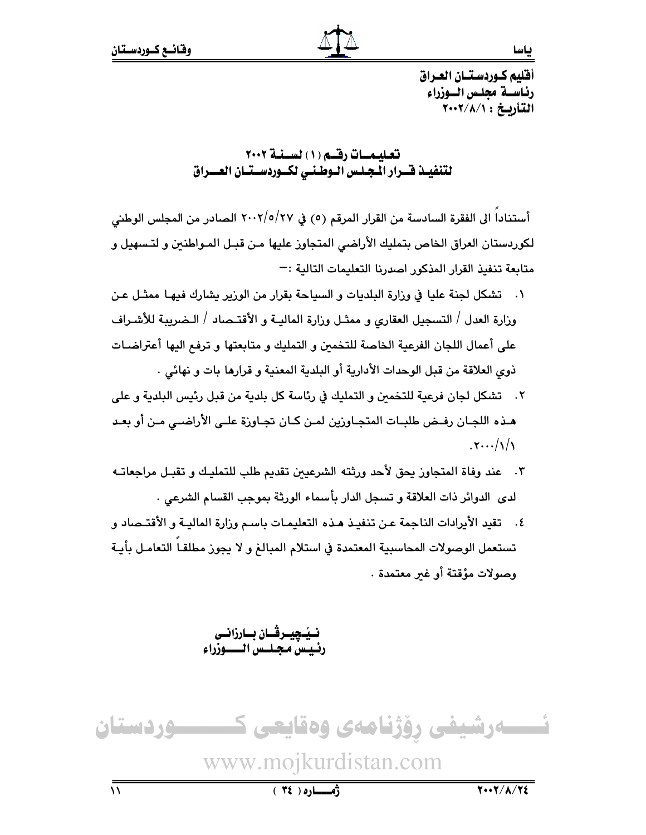أفليم كوردستيان العراق رئاســة مجلس الــوزراء التأريخ : ٢٠٠٢/٨/١

تعليمات رقم (١) لسنة ٢٠٠٢ لتنفيذ فسرار المجلس الوطني لكسوردسستسان العسراق

أستناداً الى الفقرة السادسة من القرار المرقم (٥) في ٢٠٠٧/٥/٢٧ الصادر من المجلس الوطني لكوردستان العراق الخاص بتمليك الأراضي المتجاوز عليها مـن قبـل المـواطنين و لتـسهيل و متابعة تنفيذ القرار المذكور اصدرنا التعليمات التالية :—

- ٠١. تشكل لجنة عليا في وزارة البلديات و السياحة بقرار من الوزير يشارك فيهـا ممثـل عـن وزارة العدل / التسجيل العقاري و ممثـل وزارة الماليــة و الأقتــصاد / الــضريبة للأشــراف على أعمال اللجان الفرعية الخاصة للتخمىن و التمليك و متابعتها و ترفع اليها أعتراضـات ذوى العلاقة من قبل الوحدات الأدارية أو البلدية المعنية و قرارها بات و نهائي .
- ٢. تشكل لجان فرعية للتخمين و التمليك في رئاسة كل بلدية من قبل رئيس البلدية و على هـذه اللجـان رفـض طلبـات المتجـاوزين لمـن كـان تجـاوزة علـى الأراضـى مـن أو بعـد  $.5.../\sqrt{2}$
- ٢. عند وفاة المتجاوز يحق لأحد ورثته الشرعيين تقديم طلب للتمليك و تقبـل مراجعاتـه لدى الدوائر ذات العلاقة و تسجل الدار بأسماء الورثة بموجب القسام الشرعى .
- ٤. تقيد الأبرادات الناجمة عـن تنفيـذ هـذه التعليمـات باسـم وزارة الماليـة و الأقتــصاد و تستعمل الوصولات المحاسبية المعتمدة في استلام المبالغ و لا يجوز مطلقـاً التعامـل بأيـة وصولات مؤقتة أو غير معتمدة .

نــيْــــيجيــــرڤـــان بـــارزانـــى رئيس مجلس الـــوزراء



www.mojkurdistan.com

 $\overline{\mathcal{N}}$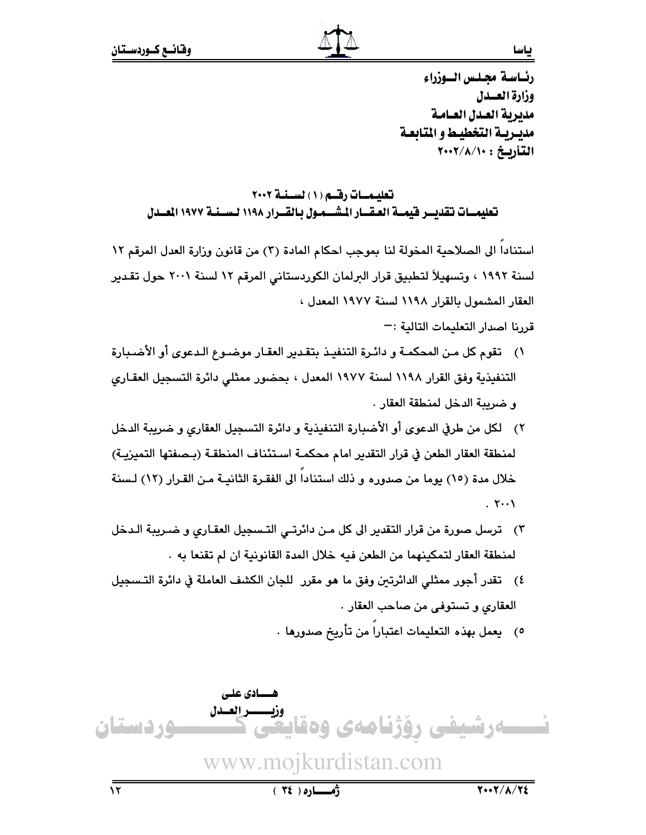رئــاسـة مجـلـس الــوزراء وزارة العسدل مديرية العدل العبامة مديـربـة التخطيـط و المتابعـة التأريخ: ٢٠٠٢/٨/١٠

تعليمــات رقــم (١) لســنـة ٢٠٠٢ تعليمسات تقديسر فيمسة العقسار المشسمول بالقسرار ١١٩٨ لسسنسة ١٩٧٧ المصدل

استنادا الى الصلاحية المخولة لنا بموجب احكام المادة (٢) من قانون وزارة العدل المرقم ١٢ لسنة ١٩٩٢ ، وتسهيلاً لتطبيق قرار البرلمان الكوردستاني المرقم ١٢ لسنة ٢٠٠١ حول تقدير العقار المشمول بالقرار ١١٩٨ لسنة ١٩٧٧ المعدل ،

قررنا اصدار التعليمات التالية :-

- ١) تقوم كل مـن المحكمـة و دائـرة التنفيـذ بتقـدير العقـار موضـوع الـدعوى أو الأضـبارة التنفيذية وفق القرار ١١٩٨ لسنة ١٩٧٧ المعدل ، بحضور ممثلي دائرة التسجيل العقاري و ضربية الدخل لمنطقة العقار .
- ٢) لكل من طرفي الدعوى أو الأضبارة التنفيذية و دائرة التسجيل العقارى و ضريبة الدخل لمنطقة العقار الطعن في قرار التقدير امام محكمـة اسـتئناف المنطقـة (بـصفتها التميزيـة) خلال مدة (١٥) يوما من صدوره و ذلك استنادا الى الفقرة الثانيـة مـن القـرار (١٢) لـسنة  $. 5...$
- ٣) ترسل صورة من قرار التقدير الى كل مـن دائرتـى التـسجيل العقـاري و ضـريبة الـدخل لمنطقة العقار لتمكينهما من الطعن فيه خلال المدة القانونية ان لم تقنعا به .
- ٤) تقدر أجور ممثلي الدائرتين وفق ما هو مقرر للجان الكشف العاملة في دائرة التـسجيل العقارى و تستوفى من صاحب العقار .
	- ٥) يعمل بهذه التعليمات اعتبارا من تأريخ صدورها .

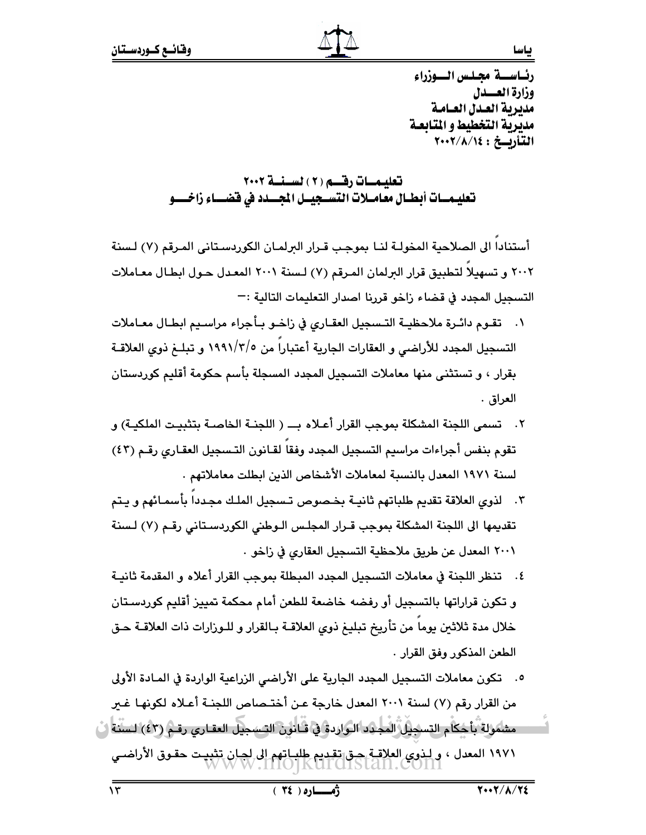رئياسية مجلس السوزراء وزارة العسدل مديرية العدل العسامة مدبرية التخطيط و المتابعة التأربخ: ٢٠٠٢/٨/١٤

تعليمات رقسم (٢) لسـنــة ٢٠٠٢ تعليمــات أبطـال معامــلات التســجيــل الجـــدد في فضـــاء زاخــــو

أستناداً إلى الصلاحية المخولـة لنـا بموجب قـرار البرلمـان الكوربسـتاني المـرقم (٧) لـسنة ٢٠٠٢ و تسهيلا لتطبيق قرار البرلمان المرقم (٧) لـسنة ٢٠٠١ المعدل حـول ابطـال معـاملات التسجيل المجدد في قضاء زاخو قررنا اصدار التعليمات التالية :—

- تقـوم دائـرة ملاحظيـة التـسجيل العقـارى في زاخـو بـأجراء مراسـيم ابطـال معـاملات  $\cdot$ التسجيل المجدد للأراضي و العقارات الجارية أعتبارا من ١٩٩١/٣/٥ و تبلـغ ذوى العلاقــة بقرار ، و تستثني منها معاملات التسجيل المجدد المسجلة بأسم حكومة أقليم كوردستان العراق .
- ٢. تسمى اللجنة المشكلة بموجب القرار أعـلاه بـــ ( اللجنــة الخاصــة بتثبيـت الملكيـة) و تقوم بنفس أجراءات مراسيم التسجيل المجدد وفقا لقـانون التسجيل العقـارى رقـم (٤٣) لسنة ١٩٧١ المعدل بالنسبة لمعاملات الأشخاص الذين ابطلت معاملاتهم .
- ٢. لذوي العلاقة تقديم طلباتهم ثانيـة بخـصوص تـسجيل الملـك مجـدداً بأسمـائهم و يـتم تقديمها الى اللجنة المشكلة بموجب قـرار المجلـس الـوطني الكوردسـتاني رقـم (٧) لـسنة ٢٠٠١ المعدل عن طريق ملاحظية التسجيل العقاري في زاخو ٠
- ٤. تنظر اللجنة في معاملات التسجيل المجدد المبطلة بموجب القرار أعلاه و المقدمة ثانيـة و تكون قراراتها بالتسجيل أو رفضه خاضعة للطعن أمام محكمة تمييز أقليم كوردسـتان خلال مدة ثلاثين يوما من تأريخ تبليغ ذوى العلاقـة بـالقرار و للـوزارات ذات العلاقـة حـق الطعن المذكور وفق القرار .
- ٥. تكون معاملات التسجيل المجدد الجارية على الأراضي الزراعية الواردة في المـادة الأولى من القرار رقم (٧) لسنة ٢٠٠١ المعدل خارجة عـن أختـصاص اللجنـة أعـلاه لكونهـا غــر مشمولة بأحكام التسجيل المجدد الواردة في قـانون التـسجيل العقـاري رقـم (٤٣) لـسنة ابْ